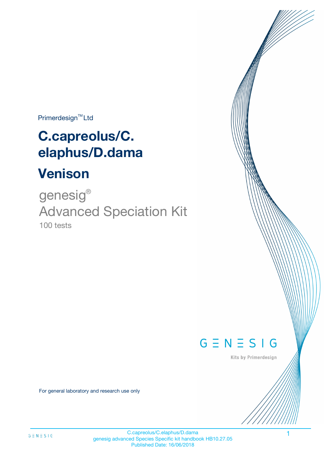Primerdesign<sup>™</sup>Ltd

# **C.capreolus/C. elaphus/D.dama**

# **Venison**

100 tests genesig ® Advanced Speciation Kit



Kits by Primerdesign

For general laboratory and research use only

C.capreolus/C.elaphus/D.dama 1 genesig advanced Species Specific kit handbook HB10.27.05 Published Date: 16/06/2018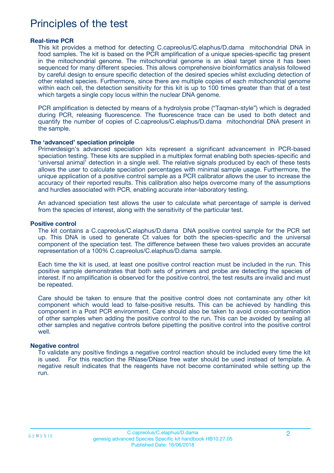### Principles of the test

#### **Real-time PCR**

This kit provides a method for detecting C.capreolus/C.elaphus/D.dama mitochondrial DNA in food samples. The kit is based on the PCR amplification of a unique species-specific tag present in the mitochondrial genome. The mitochondrial genome is an ideal target since it has been sequenced for many different species. This allows comprehensive bioinformatics analysis followed by careful design to ensure specific detection of the desired species whilst excluding detection of other related species. Furthermore, since there are multiple copies of each mitochondrial genome within each cell, the detection sensitivity for this kit is up to 100 times greater than that of a test which targets a single copy locus within the nuclear DNA genome.

PCR amplification is detected by means of a hydrolysis probe ("Taqman-style") which is degraded during PCR, releasing fluorescence. The fluorescence trace can be used to both detect and quantify the number of copies of C.capreolus/C.elaphus/D.dama mitochondrial DNA present in the sample.

#### **The 'advanced' speciation principle**

Primerdesign's advanced speciation kits represent a significant advancement in PCR-based speciation testing. These kits are supplied in a multiplex format enabling both species-specific and 'universal animal' detection in a single well. The relative signals produced by each of these tests allows the user to calculate speciation percentages with minimal sample usage. Furthermore, the unique application of a positive control sample as a PCR calibrator allows the user to increase the accuracy of their reported results. This calibration also helps overcome many of the assumptions and hurdles associated with PCR, enabling accurate inter-laboratory testing.

An advanced speciation test allows the user to calculate what percentage of sample is derived from the species of interest, along with the sensitivity of the particular test.

#### **Positive control**

The kit contains a C.capreolus/C.elaphus/D.dama DNA positive control sample for the PCR set up. This DNA is used to generate Ct values for both the species-specific and the universal component of the speciation test. The difference between these two values provides an accurate representation of a 100% C.capreolus/C.elaphus/D.dama sample.

Each time the kit is used, at least one positive control reaction must be included in the run. This positive sample demonstrates that both sets of primers and probe are detecting the species of interest. If no amplification is observed for the positive control, the test results are invalid and must be repeated.

Care should be taken to ensure that the positive control does not contaminate any other kit component which would lead to false-positive results. This can be achieved by handling this component in a Post PCR environment. Care should also be taken to avoid cross-contamination of other samples when adding the positive control to the run. This can be avoided by sealing all other samples and negative controls before pipetting the positive control into the positive control well.

#### **Negative control**

To validate any positive findings a negative control reaction should be included every time the kit is used. For this reaction the RNase/DNase free water should be used instead of template. A negative result indicates that the reagents have not become contaminated while setting up the run.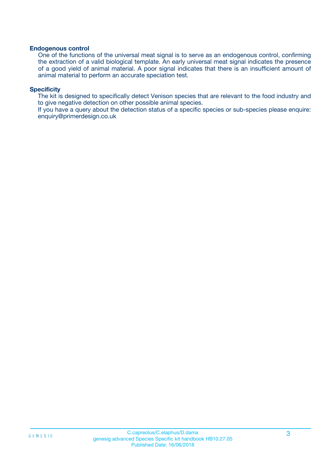#### **Endogenous control**

One of the functions of the universal meat signal is to serve as an endogenous control, confirming the extraction of a valid biological template. An early universal meat signal indicates the presence of a good yield of animal material. A poor signal indicates that there is an insufficient amount of animal material to perform an accurate speciation test.

#### **Specificity**

The kit is designed to specifically detect Venison species that are relevant to the food industry and to give negative detection on other possible animal species.

If you have a query about the detection status of a specific species or sub-species please enquire: enquiry@primerdesign.co.uk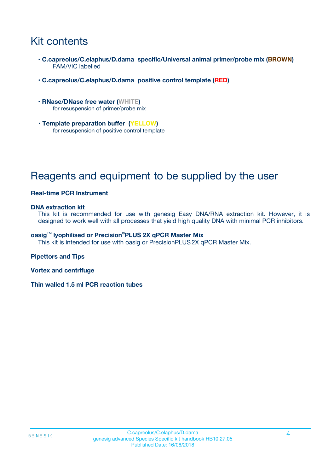## Kit contents

- **C.capreolus/C.elaphus/D.dama specific/Universal animal primer/probe mix (BROWN)** FAM/VIC labelled
- **C.capreolus/C.elaphus/D.dama positive control template (RED)**
- **RNase/DNase free water (WHITE)** for resuspension of primer/probe mix
- **Template preparation buffer (YELLOW)** for resuspension of positive control template

## Reagents and equipment to be supplied by the user

#### **Real-time PCR Instrument**

#### **DNA extraction kit**

This kit is recommended for use with genesig Easy DNA/RNA extraction kit. However, it is designed to work well with all processes that yield high quality DNA with minimal PCR inhibitors.

#### **oasig**TM **lyophilised or Precision®PLUS 2X qPCR Master Mix**

This kit is intended for use with oasig or PrecisionPLUS2X qPCR Master Mix.

#### **Pipettors and Tips**

**Vortex and centrifuge**

**Thin walled 1.5 ml PCR reaction tubes**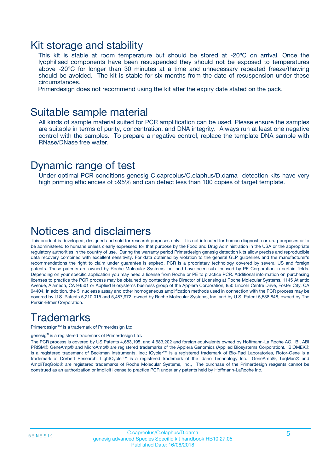### Kit storage and stability

This kit is stable at room temperature but should be stored at -20ºC on arrival. Once the lyophilised components have been resuspended they should not be exposed to temperatures above -20°C for longer than 30 minutes at a time and unnecessary repeated freeze/thawing should be avoided. The kit is stable for six months from the date of resuspension under these circumstances.

Primerdesign does not recommend using the kit after the expiry date stated on the pack.

### Suitable sample material

All kinds of sample material suited for PCR amplification can be used. Please ensure the samples are suitable in terms of purity, concentration, and DNA integrity. Always run at least one negative control with the samples. To prepare a negative control, replace the template DNA sample with RNase/DNase free water.

### Dynamic range of test

Under optimal PCR conditions genesig C.capreolus/C.elaphus/D.dama detection kits have very high priming efficiencies of >95% and can detect less than 100 copies of target template.

### Notices and disclaimers

This product is developed, designed and sold for research purposes only. It is not intended for human diagnostic or drug purposes or to be administered to humans unless clearly expressed for that purpose by the Food and Drug Administration in the USA or the appropriate regulatory authorities in the country of use. During the warranty period Primerdesign genesig detection kits allow precise and reproducible data recovery combined with excellent sensitivity. For data obtained by violation to the general GLP guidelines and the manufacturer's recommendations the right to claim under guarantee is expired. PCR is a proprietary technology covered by several US and foreign patents. These patents are owned by Roche Molecular Systems Inc. and have been sub-licensed by PE Corporation in certain fields. Depending on your specific application you may need a license from Roche or PE to practice PCR. Additional information on purchasing licenses to practice the PCR process may be obtained by contacting the Director of Licensing at Roche Molecular Systems, 1145 Atlantic Avenue, Alameda, CA 94501 or Applied Biosystems business group of the Applera Corporation, 850 Lincoln Centre Drive, Foster City, CA 94404. In addition, the 5' nuclease assay and other homogeneous amplification methods used in connection with the PCR process may be covered by U.S. Patents 5,210,015 and 5,487,972, owned by Roche Molecular Systems, Inc, and by U.S. Patent 5,538,848, owned by The Perkin-Elmer Corporation.

# **Trademarks**

Primerdesign™ is a trademark of Primerdesign Ltd.

genesig**®** is a registered trademark of Primerdesign Ltd.

The PCR process is covered by US Patents 4,683,195, and 4,683,202 and foreign equivalents owned by Hoffmann-La Roche AG. BI, ABI PRISM® GeneAmp® and MicroAmp® are registered trademarks of the Applera Genomics (Applied Biosystems Corporation). BIOMEK® is a registered trademark of Beckman Instruments, Inc.; iCycler™ is a registered trademark of Bio-Rad Laboratories, Rotor-Gene is a trademark of Corbett Research. LightCycler™ is a registered trademark of the Idaho Technology Inc. GeneAmp®, TaqMan® and AmpliTaqGold® are registered trademarks of Roche Molecular Systems, Inc., The purchase of the Primerdesign reagents cannot be construed as an authorization or implicit license to practice PCR under any patents held by Hoffmann-LaRoche Inc.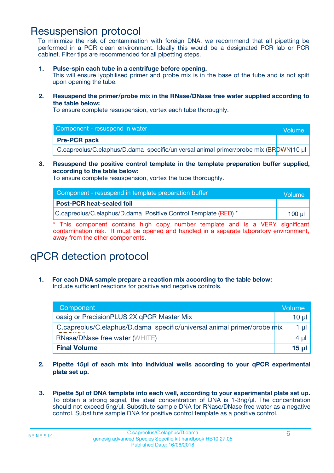### Resuspension protocol

To minimize the risk of contamination with foreign DNA, we recommend that all pipetting be performed in a PCR clean environment. Ideally this would be a designated PCR lab or PCR cabinet. Filter tips are recommended for all pipetting steps.

**1. Pulse-spin each tube in a centrifuge before opening.**

This will ensure lyophilised primer and probe mix is in the base of the tube and is not spilt upon opening the tube.

**2. Resuspend the primer/probe mix in the RNase/DNase free water supplied according to the table below:**

To ensure complete resuspension, vortex each tube thoroughly.

| Component - resuspend in water                                                      | Volume |
|-------------------------------------------------------------------------------------|--------|
| <b>Pre-PCR pack</b>                                                                 |        |
| C.capreolus/C.elaphus/D.dama specific/universal animal primer/probe mix (BROWN)10 µ |        |

#### **3. Resuspend the positive control template in the template preparation buffer supplied, according to the table below:**

To ensure complete resuspension, vortex the tube thoroughly.

| Component - resuspend in template preparation buffer           | Volume      |
|----------------------------------------------------------------|-------------|
| <b>Post-PCR heat-sealed foil</b>                               |             |
| C.capreolus/C.elaphus/D.dama Positive Control Template (RED) * | $100$ $\mu$ |

\* This component contains high copy number template and is a VERY significant contamination risk. It must be opened and handled in a separate laboratory environment, away from the other components.

# qPCR detection protocol

**1. For each DNA sample prepare a reaction mix according to the table below:** Include sufficient reactions for positive and negative controls.

| Component                                                               | Volume          |
|-------------------------------------------------------------------------|-----------------|
| oasig or PrecisionPLUS 2X qPCR Master Mix                               | $10 \mu$        |
| C.capreolus/C.elaphus/D.dama specific/universal animal primer/probe mix | 1 µl            |
| <b>RNase/DNase free water (WHITE)</b>                                   | 4 µl            |
| <b>Final Volume</b>                                                     | 15 <sub>µ</sub> |

- **2. Pipette 15µl of each mix into individual wells according to your qPCR experimental plate set up.**
- **3. Pipette 5µl of DNA template into each well, according to your experimental plate set up.** To obtain a strong signal, the ideal concentration of DNA is 1-3ng/µl. The concentration should not exceed 5ng/µl. Substitute sample DNA for RNase/DNase free water as a negative control. Substitute sample DNA for positive control template as a positive control.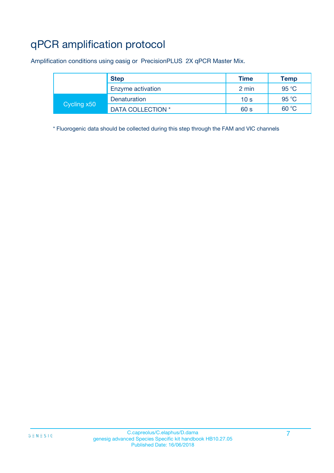# qPCR amplification protocol

Amplification conditions using oasig or PrecisionPLUS 2X qPCR Master Mix.

|             | <b>Step</b>       | Time            | Temp           |
|-------------|-------------------|-----------------|----------------|
|             | Enzyme activation | 2 min           | $95^{\circ}$ C |
| Cycling x50 | Denaturation      | 10 <sub>s</sub> | 95 °C          |
|             | DATA COLLECTION * | 60 s            | 60 °C          |

\* Fluorogenic data should be collected during this step through the FAM and VIC channels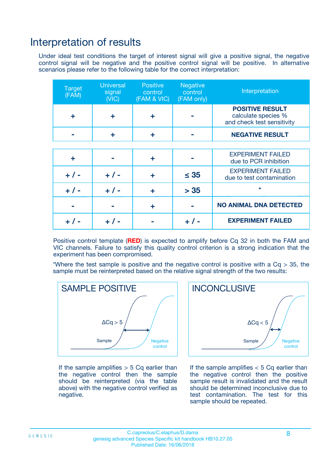### Interpretation of results

Under ideal test conditions the target of interest signal will give a positive signal, the negative control signal will be negative and the positive control signal will be positive. In alternative scenarios please refer to the following table for the correct interpretation:

| <b>Target</b><br>(FAM) | <b>Universal</b><br>signal<br>(NIC) | <b>Positive</b><br>control<br>(FAM & VIC) | <b>Negative</b><br>control<br>(FAM only) | Interpretation                                                              |
|------------------------|-------------------------------------|-------------------------------------------|------------------------------------------|-----------------------------------------------------------------------------|
| ÷                      | ÷                                   | ÷                                         |                                          | <b>POSITIVE RESULT</b><br>calculate species %<br>and check test sensitivity |
|                        | ÷                                   | ÷                                         |                                          | <b>NEGATIVE RESULT</b>                                                      |
|                        |                                     |                                           |                                          |                                                                             |
| ÷                      |                                     | ÷                                         |                                          | <b>EXPERIMENT FAILED</b><br>due to PCR inhibition                           |
| $+ 1 -$                | $+ 1 -$                             | ٠                                         | $\leq$ 35                                | <b>EXPERIMENT FAILED</b><br>due to test contamination                       |
| $+ 1 -$                | $+ 1 -$                             |                                           | > 35                                     | $\star$                                                                     |
|                        |                                     | ÷                                         |                                          | <b>NO ANIMAL DNA DETECTED</b>                                               |
|                        | $+$ / -                             |                                           | $+$ / -                                  | <b>EXPERIMENT FAILED</b>                                                    |

Positive control template (**RED**) is expected to amplify before Cq 32 in both the FAM and VIC channels. Failure to satisfy this quality control criterion is a strong indication that the experiment has been compromised.

\*Where the test sample is positive and the negative control is positive with a  $Cq > 35$ , the sample must be reinterpreted based on the relative signal strength of the two results:



If the sample amplifies  $> 5$  Cq earlier than the negative control then the sample should be reinterpreted (via the table above) with the negative control verified as negative.



If the sample amplifies  $< 5$  Cq earlier than the negative control then the positive sample result is invalidated and the result should be determined inconclusive due to test contamination. The test for this sample should be repeated.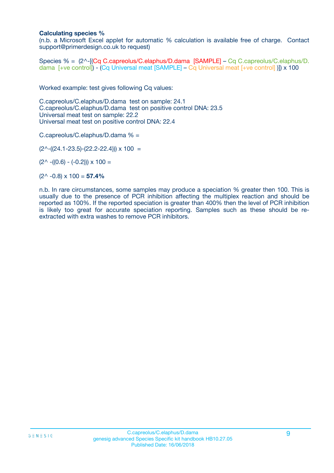#### **Calculating species %**

(n.b. a Microsoft Excel applet for automatic % calculation is available free of charge. Contact support@primerdesign.co.uk to request)

Species % = (2^-[(Cq C.capreolus/C.elaphus/D.dama [SAMPLE] – Cq C.capreolus/C.elaphus/D. dama [+ve control]) - (Cq Universal meat [SAMPLE] – Cq Universal meat [+ve control] )]) x 100

Worked example: test gives following Cq values:

C.capreolus/C.elaphus/D.dama test on sample: 24.1 C.capreolus/C.elaphus/D.dama test on positive control DNA: 23.5 Universal meat test on sample: 22.2 Universal meat test on positive control DNA: 22.4

C.capreolus/C.elaphus/D.dama % =

 $(2^{\wedge}-(24.1-23.5)-(22.2-22.4))) \times 100 =$ 

 $(2^{\wedge}$  -((0.6) - (-0.2)))  $\times$  100 =

 $(2^{\wedge}$  -0.8)  $\times$  100 = **57.4%** 

n.b. In rare circumstances, some samples may produce a speciation % greater then 100. This is usually due to the presence of PCR inhibition affecting the multiplex reaction and should be reported as 100%. If the reported speciation is greater than 400% then the level of PCR inhibition is likely too great for accurate speciation reporting. Samples such as these should be reextracted with extra washes to remove PCR inhibitors.